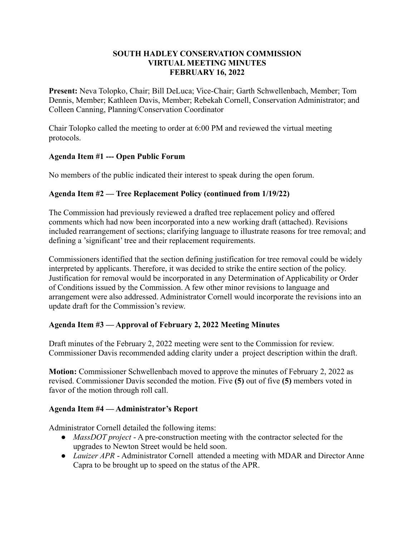## **SOUTH HADLEY CONSERVATION COMMISSION VIRTUAL MEETING MINUTES FEBRUARY 16, 2022**

**Present:** Neva Tolopko, Chair; Bill DeLuca; Vice-Chair; Garth Schwellenbach, Member; Tom Dennis, Member; Kathleen Davis, Member; Rebekah Cornell, Conservation Administrator; and Colleen Canning, Planning/Conservation Coordinator

Chair Tolopko called the meeting to order at 6:00 PM and reviewed the virtual meeting protocols.

# **Agenda Item #1 --- Open Public Forum**

No members of the public indicated their interest to speak during the open forum.

# **Agenda Item #2 — Tree Replacement Policy (continued from 1/19/22)**

The Commission had previously reviewed a drafted tree replacement policy and offered comments which had now been incorporated into a new working draft (attached). Revisions included rearrangement of sections; clarifying language to illustrate reasons for tree removal; and defining a 'significant' tree and their replacement requirements.

Commissioners identified that the section defining justification for tree removal could be widely interpreted by applicants. Therefore, it was decided to strike the entire section of the policy. Justification for removal would be incorporated in any Determination of Applicability or Order of Conditions issued by the Commission. A few other minor revisions to language and arrangement were also addressed. Administrator Cornell would incorporate the revisions into an update draft for the Commission's review.

## **Agenda Item #3 — Approval of February 2, 2022 Meeting Minutes**

Draft minutes of the February 2, 2022 meeting were sent to the Commission for review. Commissioner Davis recommended adding clarity under a project description within the draft.

**Motion:** Commissioner Schwellenbach moved to approve the minutes of February 2, 2022 as revised. Commissioner Davis seconded the motion. Five **(5)** out of five **(5)** members voted in favor of the motion through roll call.

## **Agenda Item #4 — Administrator's Report**

Administrator Cornell detailed the following items:

- *MassDOT project* A pre-construction meeting with the contractor selected for the upgrades to Newton Street would be held soon.
- *Lauizer APR* Administrator Cornell attended a meeting with MDAR and Director Anne Capra to be brought up to speed on the status of the APR.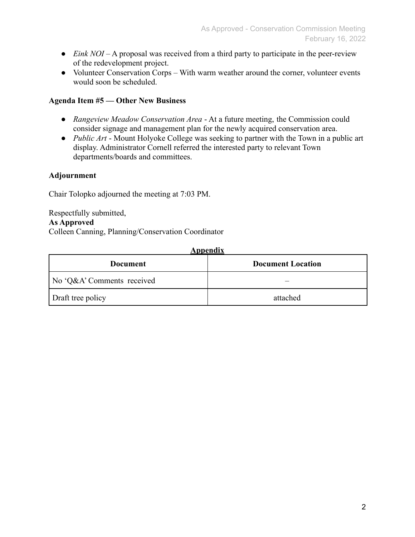- *Eink NOI* A proposal was received from a third party to participate in the peer-review of the redevelopment project.
- Volunteer Conservation Corps With warm weather around the corner, volunteer events would soon be scheduled.

# **Agenda Item #5 — Other New Business**

- *Rangeview Meadow Conservation Area* At a future meeting, the Commission could consider signage and management plan for the newly acquired conservation area.
- *Public Art* Mount Holyoke College was seeking to partner with the Town in a public art display. Administrator Cornell referred the interested party to relevant Town departments/boards and committees.

# **Adjournment**

Chair Tolopko adjourned the meeting at 7:03 PM.

Respectfully submitted, **As Approved** Colleen Canning, Planning/Conservation Coordinator

## **Appendix**

| <b>Document</b>            | <b>Document Location</b> |
|----------------------------|--------------------------|
| No 'Q&A' Comments received |                          |
| Draft tree policy          | attached                 |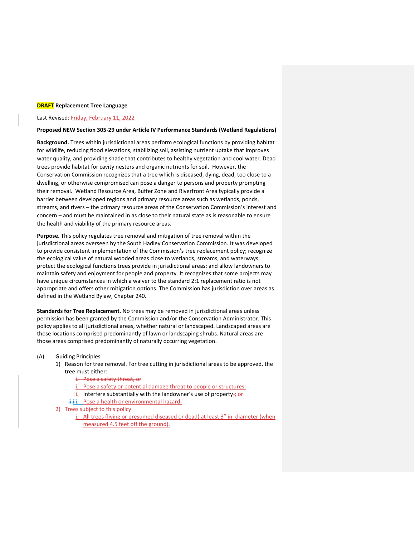### **DRAFT Replacement Tree Language**

## Last Revised: Friday, February 11, 2022

## **Proposed NEW Section 305-29 under Article IV Performance Standards (Wetland Regulations)**

**Background.** Trees within jurisdictional areas perform ecological functions by providing habitat for wildlife, reducing flood elevations, stabilizing soil, assisting nutrient uptake that improves water quality, and providing shade that contributes to healthy vegetation and cool water. Dead trees provide habitat for cavity nesters and organic nutrients for soil. However, the Conservation Commission recognizes that a tree which is diseased, dying, dead, too close to a dwelling, or otherwise compromised can pose a danger to persons and property prompting their removal. Wetland Resource Area, Buffer Zone and Riverfront Area typically provide a barrier between developed regions and primary resource areas such as wetlands, ponds, streams, and rivers – the primary resource areas of the Conservation Commission's interest and concern – and must be maintained in as close to their natural state as is reasonable to ensure the health and viability of the primary resource areas.

**Purpose.** This policy regulates tree removal and mitigation of tree removal within the jurisdictional areas overseen by the South Hadley Conservation Commission. It was developed to provide consistent implementation of the Commission's tree replacement policy; recognize the ecological value of natural wooded areas close to wetlands, streams, and waterways; protect the ecological functions trees provide in jurisdictional areas; and allow landowners to maintain safety and enjoyment for people and property. It recognizes that some projects may have unique circumstances in which a waiver to the standard 2:1 replacement ratio is not appropriate and offers other mitigation options. The Commission has jurisdiction over areas as defined in the Wetland Bylaw, Chapter 240.

**Standards for Tree Replacement.** No trees may be removed in jurisdictional areas unless permission has been granted by the Commission and/or the Conservation Administrator. This policy applies to all jurisdictional areas, whether natural or landscaped. Landscaped areas are those locations comprised predominantly of lawn or landscaping shrubs. Natural areas are those areas comprised predominantly of naturally occurring vegetation.

#### (A) Guiding Principles

- 1) Reason for tree removal. For tree cutting in jurisdictional areas to be approved, the tree must either:
	- i. Pose a safety threat, or
	- i. Pose a safety or potential damage threat to people or structures;
	- ii. Interfere substantially with the landowner's use of property-; or
	- ii. Pose a health or environmental hazard.
- 2) Trees subject to this policy.
	- i. All trees (living or presumed diseased or dead) at least 3" in diameter (when measured 4.5 feet off the ground).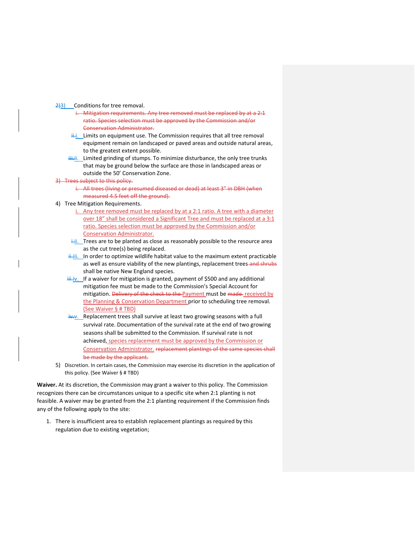### $\overline{2}$ (2)3) Conditions for tree removal.

- i. Mitigation requirements. Any tree removed must be replaced by at a 2:1 ratio. Species selection must be approved by the Commission and/or Conservation Administrator.
- $\frac{ii}{i\hbar}$ . Limits on equipment use. The Commission requires that all tree removal equipment remain on landscaped or paved areas and outside natural areas, to the greatest extent possible.
- iii. Limited grinding of stumps. To minimize disturbance, the only tree trunks that may be ground below the surface are those in landscaped areas or outside the 50' Conservation Zone.
- Trees subject to this policy.
	- i. All trees (living or presumed diseased or dead) at least 3" in DBH (when measured 4.5 feet off the ground).
- 4) Tree Mitigation Requirements.
	- i. Any tree removed must be replaced by at a 2:1 ratio. A tree with a diameter over 18" shall be considered a Significant Tree and must be replaced at a 3:1 ratio. Species selection must be approved by the Commission and/or Conservation Administrator.
	- $i$ -ii. Trees are to be planted as close as reasonably possible to the resource area as the cut tree(s) being replaced.
	- $\frac{H}{t}$ iii. In order to optimize wildlife habitat value to the maximum extent practicable as well as ensure viability of the new plantings, replacement trees and shrubs shall be native New England species.
	- iii.iv. If a waiver for mitigation is granted, payment of \$500 and any additional mitigation fee must be made to the Commission's Special Account for mitigation. Delivery of the check to the Payment must be made received by the Planning & Conservation Department prior to scheduling tree removal. (See Waiver § # TBD)
	- iv.v. Replacement trees shall survive at least two growing seasons with a full survival rate. Documentation of the survival rate at the end of two growing seasons shall be submitted to the Commission. If survival rate is not achieved, species replacement must be approved by the Commission or Conservation Administrator. replacement plantings of the same species shall be made by the applicant.
- 5) Discretion. In certain cases, the Commission may exercise its discretion in the application of this policy. (See Waiver § # TBD)

**Waiver.** At its discretion, the Commission may grant a waiver to this policy. The Commission recognizes there can be circumstances unique to a specific site when 2:1 planting is not feasible. A waiver may be granted from the 2:1 planting requirement if the Commission finds any of the following apply to the site:

1. There is insufficient area to establish replacement plantings as required by this regulation due to existing vegetation;